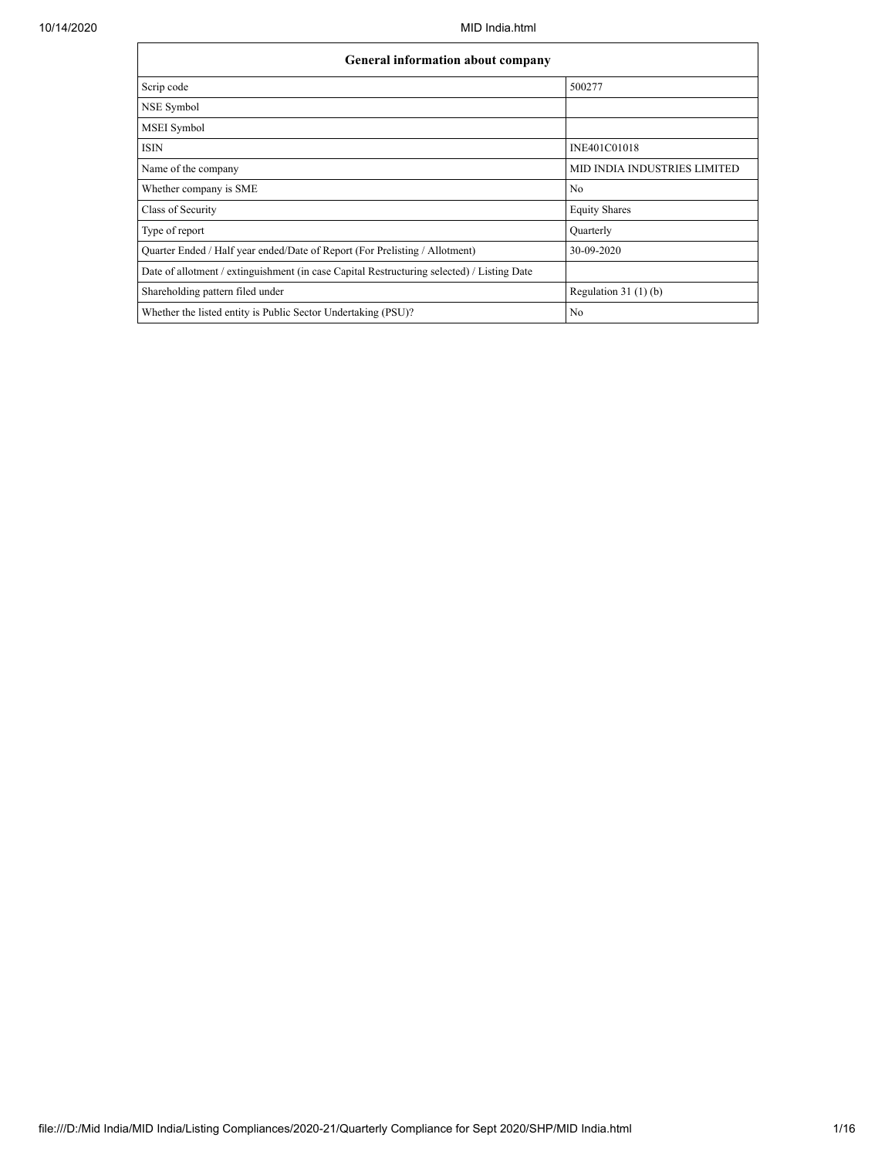$\mathsf{r}$ 

| General information about company                                                          |                                     |  |  |  |  |  |  |  |
|--------------------------------------------------------------------------------------------|-------------------------------------|--|--|--|--|--|--|--|
| Scrip code                                                                                 | 500277                              |  |  |  |  |  |  |  |
| NSE Symbol                                                                                 |                                     |  |  |  |  |  |  |  |
| MSEI Symbol                                                                                |                                     |  |  |  |  |  |  |  |
| <b>ISIN</b>                                                                                | INE401C01018                        |  |  |  |  |  |  |  |
| Name of the company                                                                        | <b>MID INDIA INDUSTRIES LIMITED</b> |  |  |  |  |  |  |  |
| Whether company is SME                                                                     | No                                  |  |  |  |  |  |  |  |
| Class of Security                                                                          | <b>Equity Shares</b>                |  |  |  |  |  |  |  |
| Type of report                                                                             | Quarterly                           |  |  |  |  |  |  |  |
| Quarter Ended / Half year ended/Date of Report (For Prelisting / Allotment)                | 30-09-2020                          |  |  |  |  |  |  |  |
| Date of allotment / extinguishment (in case Capital Restructuring selected) / Listing Date |                                     |  |  |  |  |  |  |  |
| Shareholding pattern filed under                                                           | Regulation $31(1)(b)$               |  |  |  |  |  |  |  |
| Whether the listed entity is Public Sector Undertaking (PSU)?                              | No                                  |  |  |  |  |  |  |  |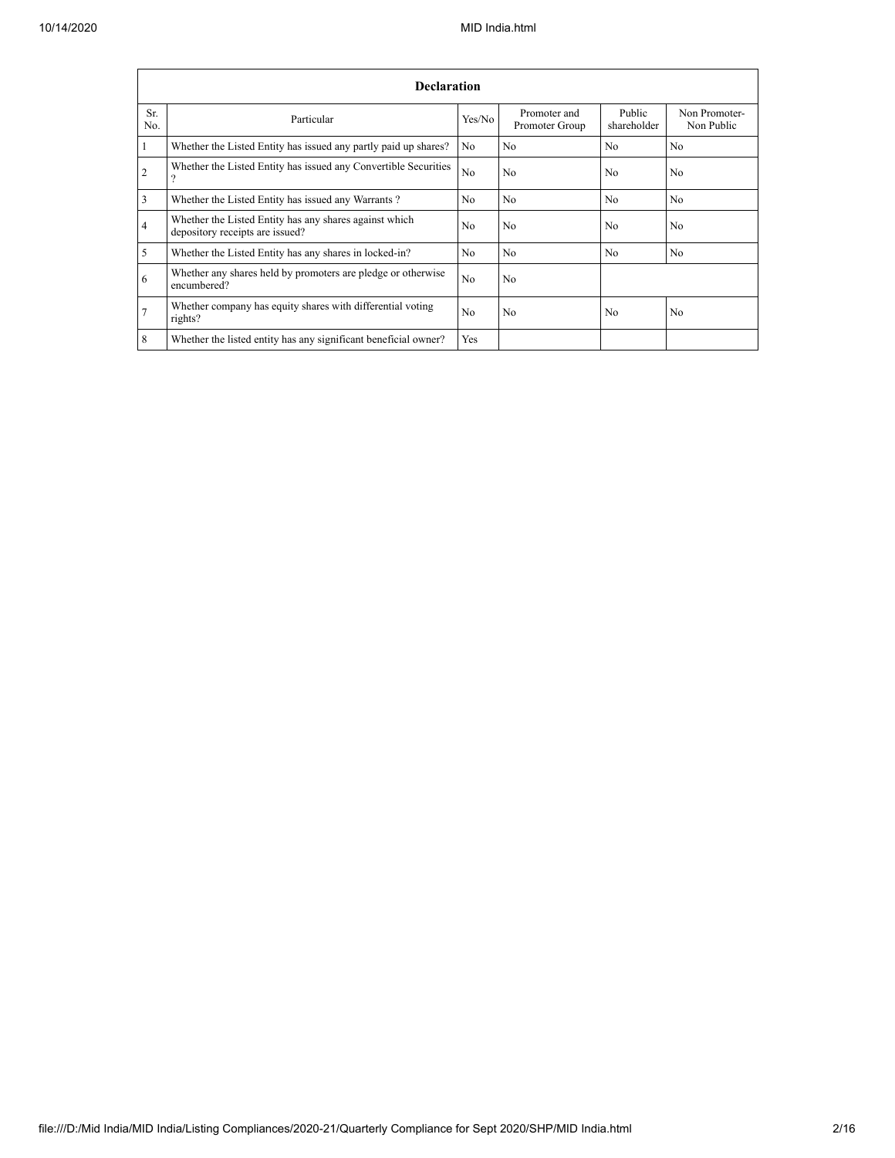|                | <b>Declaration</b>                                                                        |                |                                |                       |                             |  |  |  |  |  |  |
|----------------|-------------------------------------------------------------------------------------------|----------------|--------------------------------|-----------------------|-----------------------------|--|--|--|--|--|--|
| Sr.<br>No.     | Particular                                                                                | Yes/No         | Promoter and<br>Promoter Group | Public<br>shareholder | Non Promoter-<br>Non Public |  |  |  |  |  |  |
| 1              | Whether the Listed Entity has issued any partly paid up shares?                           | No             | N <sub>o</sub>                 | N <sub>0</sub>        | N <sub>o</sub>              |  |  |  |  |  |  |
| $\overline{2}$ | Whether the Listed Entity has issued any Convertible Securities<br>$\Omega$               | N <sub>0</sub> | N <sub>o</sub>                 | N <sub>0</sub>        | N <sub>o</sub>              |  |  |  |  |  |  |
| 3              | Whether the Listed Entity has issued any Warrants?                                        | N <sub>0</sub> | N <sub>0</sub>                 | No.                   | N <sub>0</sub>              |  |  |  |  |  |  |
| $\overline{4}$ | Whether the Listed Entity has any shares against which<br>depository receipts are issued? | N <sub>0</sub> | N <sub>o</sub>                 | N <sub>0</sub>        | N <sub>0</sub>              |  |  |  |  |  |  |
| 5              | Whether the Listed Entity has any shares in locked-in?                                    | N <sub>0</sub> | N <sub>0</sub>                 | No.                   | No                          |  |  |  |  |  |  |
| 6              | Whether any shares held by promoters are pledge or otherwise<br>encumbered?               | N <sub>0</sub> | N <sub>o</sub>                 |                       |                             |  |  |  |  |  |  |
| $\overline{7}$ | Whether company has equity shares with differential voting<br>rights?                     | N <sub>0</sub> | N <sub>o</sub>                 | N <sub>0</sub>        | N <sub>o</sub>              |  |  |  |  |  |  |
| 8              | Whether the listed entity has any significant beneficial owner?                           | <b>Yes</b>     |                                |                       |                             |  |  |  |  |  |  |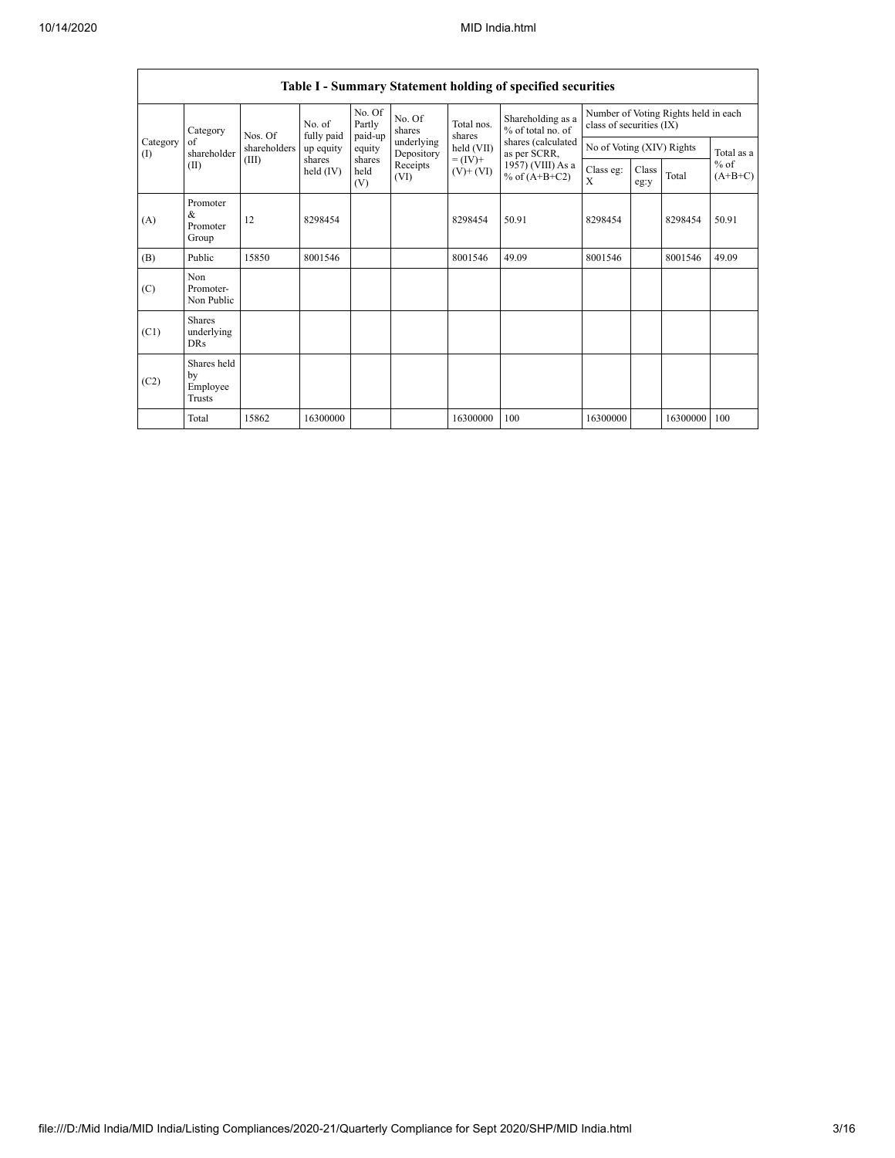h

|                                           | Table I - Summary Statement holding of specified securities |              |                       |                             |                          |                              |                                        |                                                                  |               |          |                     |  |
|-------------------------------------------|-------------------------------------------------------------|--------------|-----------------------|-----------------------------|--------------------------|------------------------------|----------------------------------------|------------------------------------------------------------------|---------------|----------|---------------------|--|
| Category<br>Category<br>of<br>(1)<br>(II) |                                                             | Nos. Of      | No. of<br>fully paid  | No. Of<br>Partly<br>paid-up | No. Of<br>shares         | Total nos.<br>shares         | Shareholding as a<br>% of total no. of | Number of Voting Rights held in each<br>class of securities (IX) |               |          |                     |  |
|                                           | shareholder                                                 | shareholders | up equity             | equity                      | underlying<br>Depository | held (VII)                   | shares (calculated<br>as per SCRR,     | No of Voting (XIV) Rights                                        |               |          | Total as a          |  |
|                                           |                                                             | (III)        | shares<br>held $(IV)$ | shares<br>held<br>(V)       | Receipts<br>(VI)         | $= (IV) +$<br>$(V)$ + $(VI)$ | 1957) (VIII) As a<br>% of $(A+B+C2)$   | Class eg:<br>$\mathbf{x}$                                        | Class<br>eg:y | Total    | $%$ of<br>$(A+B+C)$ |  |
| (A)                                       | Promoter<br>&<br>Promoter<br>Group                          | 12           | 8298454               |                             |                          | 8298454                      | 50.91                                  | 8298454                                                          |               | 8298454  | 50.91               |  |
| (B)                                       | Public                                                      | 15850        | 8001546               |                             |                          | 8001546                      | 49.09                                  | 8001546                                                          |               | 8001546  | 49.09               |  |
| (C)                                       | Non<br>Promoter-<br>Non Public                              |              |                       |                             |                          |                              |                                        |                                                                  |               |          |                     |  |
| (C1)                                      | <b>Shares</b><br>underlying<br><b>DRs</b>                   |              |                       |                             |                          |                              |                                        |                                                                  |               |          |                     |  |
| (C2)                                      | Shares held<br>by<br>Employee<br>Trusts                     |              |                       |                             |                          |                              |                                        |                                                                  |               |          |                     |  |
|                                           | Total                                                       | 15862        | 16300000              |                             |                          | 16300000                     | 100                                    | 16300000                                                         |               | 16300000 | 100                 |  |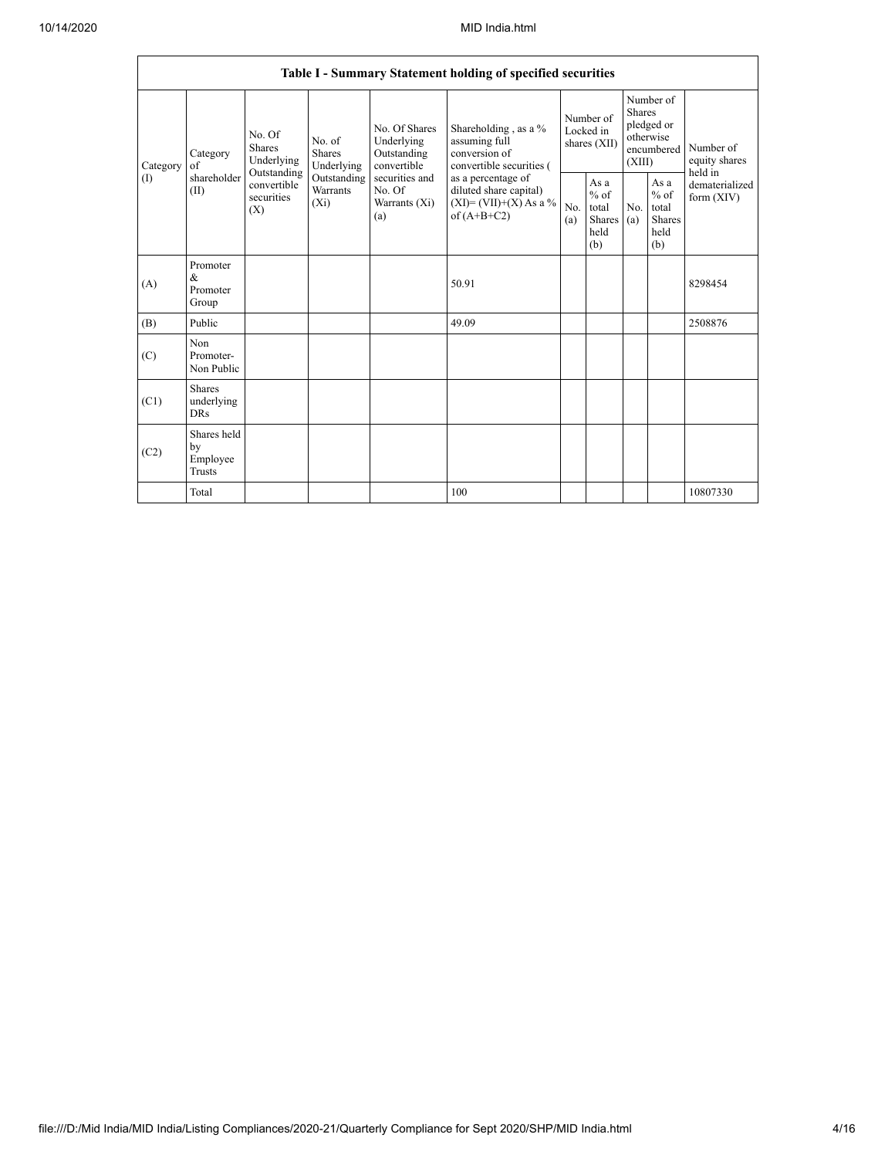|                 | Table I - Summary Statement holding of specified securities                     |                                |                                    |                                                                                                               |                                                                                                                                                                                  |                                        |                                                  |                                                                        |                                                  |                                       |  |
|-----------------|---------------------------------------------------------------------------------|--------------------------------|------------------------------------|---------------------------------------------------------------------------------------------------------------|----------------------------------------------------------------------------------------------------------------------------------------------------------------------------------|----------------------------------------|--------------------------------------------------|------------------------------------------------------------------------|--------------------------------------------------|---------------------------------------|--|
| Category<br>(1) | No. Of<br>Shares<br>Category<br>of<br>Outstanding<br>shareholder<br>(II)<br>(X) | No. of<br>Shares<br>Underlying | Underlying                         | No. Of Shares<br>Underlying<br>Outstanding<br>convertible<br>securities and<br>No. Of<br>Warrants (Xi)<br>(a) | Shareholding, as a %<br>assuming full<br>conversion of<br>convertible securities (<br>as a percentage of<br>diluted share capital)<br>$(XI) = (VII)+(X) As a %$<br>of $(A+B+C2)$ | Number of<br>Locked in<br>shares (XII) |                                                  | Number of<br>Shares<br>pledged or<br>otherwise<br>encumbered<br>(XIII) |                                                  | Number of<br>equity shares<br>held in |  |
|                 |                                                                                 | convertible<br>securities      | Outstanding<br>Warrants<br>$(X_i)$ |                                                                                                               |                                                                                                                                                                                  | No.<br>(a)                             | As a<br>$%$ of<br>total<br>Shares<br>held<br>(b) | No.<br>(a)                                                             | As a<br>$%$ of<br>total<br>Shares<br>held<br>(b) | dematerialized<br>form $(XIV)$        |  |
| (A)             | Promoter<br>$\&$<br>Promoter<br>Group                                           |                                |                                    |                                                                                                               | 50.91                                                                                                                                                                            |                                        |                                                  |                                                                        |                                                  | 8298454                               |  |
| (B)             | Public                                                                          |                                |                                    |                                                                                                               | 49.09                                                                                                                                                                            |                                        |                                                  |                                                                        |                                                  | 2508876                               |  |
| (C)             | Non<br>Promoter-<br>Non Public                                                  |                                |                                    |                                                                                                               |                                                                                                                                                                                  |                                        |                                                  |                                                                        |                                                  |                                       |  |
| (C1)            | Shares<br>underlying<br><b>DRs</b>                                              |                                |                                    |                                                                                                               |                                                                                                                                                                                  |                                        |                                                  |                                                                        |                                                  |                                       |  |
| (C2)            | Shares held<br>by<br>Employee<br><b>Trusts</b>                                  |                                |                                    |                                                                                                               |                                                                                                                                                                                  |                                        |                                                  |                                                                        |                                                  |                                       |  |
|                 | Total                                                                           |                                |                                    |                                                                                                               | 100                                                                                                                                                                              |                                        |                                                  |                                                                        |                                                  | 10807330                              |  |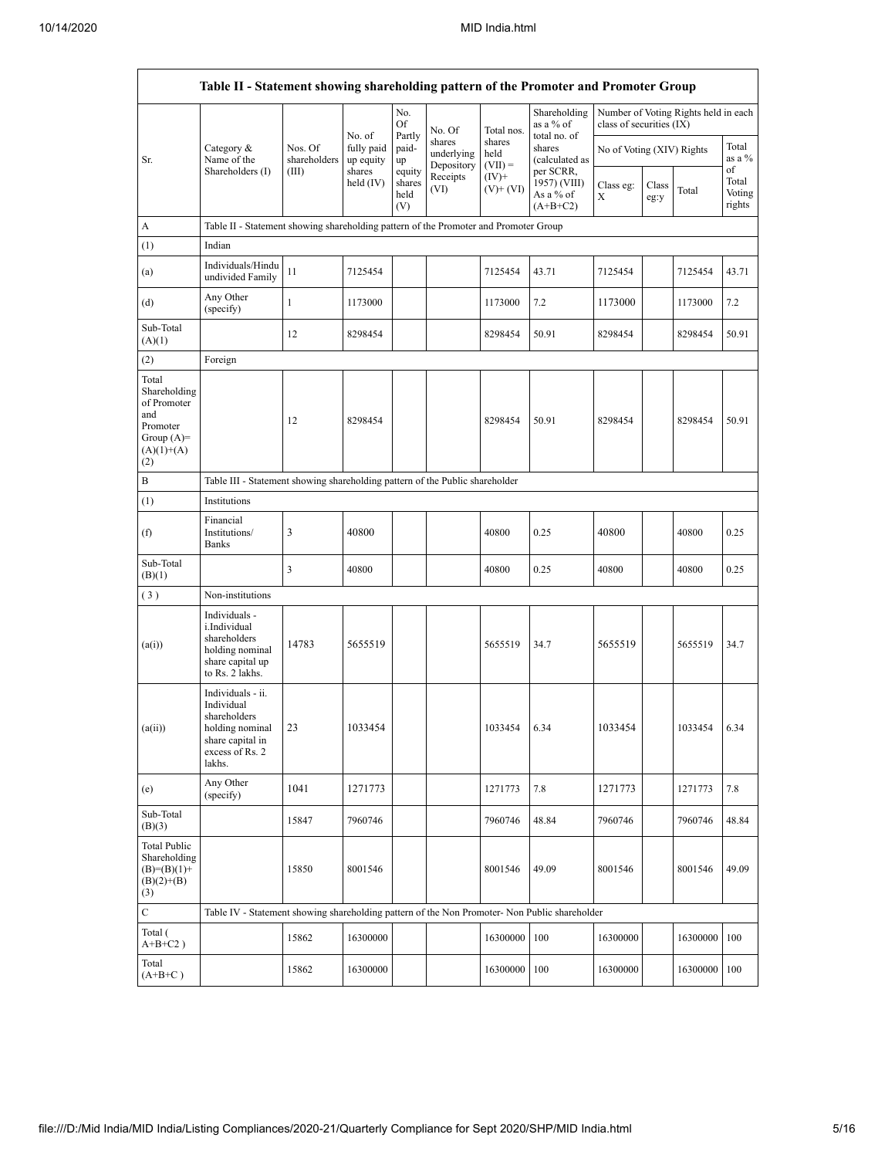|                                                                                                | Table II - Statement showing shareholding pattern of the Promoter and Promoter Group                                   |                                                                              |                                   |                                 |                                    |                             |                                                      |                           |               |                                      |                                 |
|------------------------------------------------------------------------------------------------|------------------------------------------------------------------------------------------------------------------------|------------------------------------------------------------------------------|-----------------------------------|---------------------------------|------------------------------------|-----------------------------|------------------------------------------------------|---------------------------|---------------|--------------------------------------|---------------------------------|
|                                                                                                |                                                                                                                        |                                                                              |                                   | No.<br>Of                       | No. Of                             | Total nos.                  | Shareholding<br>as a % of                            | class of securities (IX)  |               | Number of Voting Rights held in each |                                 |
| Sr.                                                                                            | Category &<br>Name of the                                                                                              | Nos. Of<br>shareholders                                                      | No. of<br>fully paid<br>up equity | Partly<br>paid-<br>up           | shares<br>underlying<br>Depository | shares<br>held<br>$(VII) =$ | total no. of<br>shares<br>(calculated as             | No of Voting (XIV) Rights |               |                                      | Total<br>as a %                 |
|                                                                                                | Shareholders (I)                                                                                                       | (III)                                                                        | shares<br>held (IV)               | equity<br>shares<br>held<br>(V) | Receipts<br>(VI)                   | $(IV)+$<br>$(V)$ + $(V)$    | per SCRR,<br>1957) (VIII)<br>As a % of<br>$(A+B+C2)$ | Class eg:<br>Х            | Class<br>eg:y | Total                                | of<br>Total<br>Voting<br>rights |
| А                                                                                              | Table II - Statement showing shareholding pattern of the Promoter and Promoter Group                                   |                                                                              |                                   |                                 |                                    |                             |                                                      |                           |               |                                      |                                 |
| (1)                                                                                            | Indian                                                                                                                 |                                                                              |                                   |                                 |                                    |                             |                                                      |                           |               |                                      |                                 |
| (a)                                                                                            | Individuals/Hindu<br>undivided Family                                                                                  | 11                                                                           | 7125454                           |                                 |                                    | 7125454                     | 43.71                                                | 7125454                   |               | 7125454                              | 43.71                           |
| (d)                                                                                            | Any Other<br>(specify)                                                                                                 | $\mathbf{1}$                                                                 | 1173000                           |                                 |                                    | 1173000                     | 7.2                                                  | 1173000                   |               | 1173000                              | 7.2                             |
| Sub-Total<br>(A)(1)                                                                            |                                                                                                                        | 12                                                                           | 8298454                           |                                 |                                    | 8298454                     | 50.91                                                | 8298454                   |               | 8298454                              | 50.91                           |
| (2)                                                                                            | Foreign                                                                                                                |                                                                              |                                   |                                 |                                    |                             |                                                      |                           |               |                                      |                                 |
| Total<br>Shareholding<br>of Promoter<br>and<br>Promoter<br>Group $(A)=$<br>$(A)(1)+(A)$<br>(2) |                                                                                                                        | 12                                                                           | 8298454                           |                                 |                                    | 8298454                     | 50.91                                                | 8298454                   |               | 8298454                              | 50.91                           |
| B                                                                                              |                                                                                                                        | Table III - Statement showing shareholding pattern of the Public shareholder |                                   |                                 |                                    |                             |                                                      |                           |               |                                      |                                 |
| (1)                                                                                            | Institutions                                                                                                           |                                                                              |                                   |                                 |                                    |                             |                                                      |                           |               |                                      |                                 |
| (f)                                                                                            | Financial<br>Institutions/<br><b>Banks</b>                                                                             | 3                                                                            | 40800                             |                                 |                                    | 40800                       | 0.25                                                 | 40800                     |               | 40800                                | 0.25                            |
| Sub-Total<br>(B)(1)                                                                            |                                                                                                                        | 3                                                                            | 40800                             |                                 |                                    | 40800                       | 0.25                                                 | 40800                     |               | 40800                                | 0.25                            |
| (3)                                                                                            | Non-institutions                                                                                                       |                                                                              |                                   |                                 |                                    |                             |                                                      |                           |               |                                      |                                 |
| (a(i))                                                                                         | Individuals -<br>i.Individual<br>shareholders<br>holding nominal<br>share capital up<br>to Rs. 2 lakhs.                | 14783                                                                        | 5655519                           |                                 |                                    | 5655519                     | 34.7                                                 | 5655519                   |               | 5655519                              | 34.7                            |
| (a(ii))                                                                                        | Individuals - ii.<br>Individual<br>shareholders<br>holding nominal 23<br>share capital in<br>excess of Rs. 2<br>lakhs. |                                                                              | 1033454                           |                                 |                                    | 1033454                     | 6.34                                                 | 1033454                   |               | 1033454                              | 6.34                            |
| (e)                                                                                            | Any Other<br>(specify)                                                                                                 | 1041                                                                         | 1271773                           |                                 |                                    | 1271773                     | 7.8                                                  | 1271773                   |               | 1271773                              | 7.8                             |
| Sub-Total<br>(B)(3)                                                                            |                                                                                                                        | 15847                                                                        | 7960746                           |                                 |                                    | 7960746                     | 48.84                                                | 7960746                   |               | 7960746                              | 48.84                           |
| <b>Total Public</b><br>Shareholding<br>$(B)= (B)(1) +$<br>$(B)(2)+(B)$<br>(3)                  |                                                                                                                        | 15850                                                                        | 8001546                           |                                 |                                    | 8001546                     | 49.09                                                | 8001546                   |               | 8001546                              | 49.09                           |
| $\mathbf C$                                                                                    | Table IV - Statement showing shareholding pattern of the Non Promoter- Non Public shareholder                          |                                                                              |                                   |                                 |                                    |                             |                                                      |                           |               |                                      |                                 |
| Total (<br>$A+B+C2$ )                                                                          |                                                                                                                        | 15862                                                                        | 16300000                          |                                 |                                    | 16300000                    | 100                                                  | 16300000                  |               | 16300000                             | 100                             |
| Total<br>$(A+B+C)$                                                                             |                                                                                                                        | 15862                                                                        | 16300000                          |                                 |                                    | 16300000                    | 100                                                  | 16300000                  |               | 16300000                             | 100                             |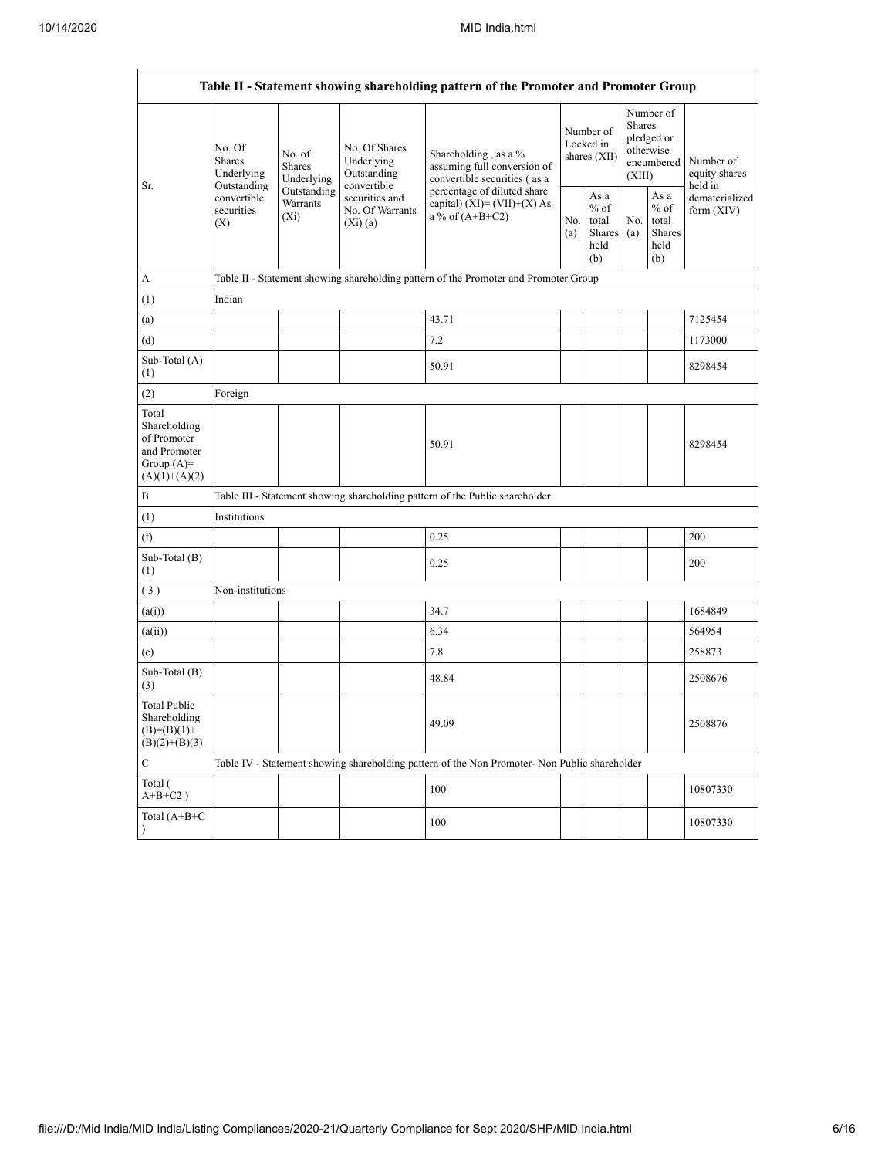$\mathbf{r}$ 

 $\overline{\phantom{a}}$ 

| Table II - Statement showing shareholding pattern of the Promoter and Promoter Group    |                                                 |                                                                                      |                                                           |                                                                                                                                                                        |  |                                                  |            |                                                                               |                                       |  |  |
|-----------------------------------------------------------------------------------------|-------------------------------------------------|--------------------------------------------------------------------------------------|-----------------------------------------------------------|------------------------------------------------------------------------------------------------------------------------------------------------------------------------|--|--------------------------------------------------|------------|-------------------------------------------------------------------------------|---------------------------------------|--|--|
| Sr.                                                                                     | No. Of<br>Shares<br>Underlying                  | No. of<br>Shares<br>Underlying                                                       | No. Of Shares<br>Underlying<br>Outstanding<br>convertible | Shareholding, as a %<br>assuming full conversion of<br>convertible securities (as a<br>percentage of diluted share<br>capital) (XI)= (VII)+(X) As<br>a % of $(A+B+C2)$ |  | Number of<br>Locked in<br>shares (XII)           |            | Number of<br><b>Shares</b><br>pledged or<br>otherwise<br>encumbered<br>(XIII) | Number of<br>equity shares<br>held in |  |  |
|                                                                                         | Outstanding<br>convertible<br>securities<br>(X) | Outstanding<br>Warrants<br>$(X_i)$                                                   | securities and<br>No. Of Warrants<br>(Xi)(a)              |                                                                                                                                                                        |  | As a<br>$%$ of<br>total<br>Shares<br>held<br>(b) | No.<br>(a) | As a<br>$%$ of<br>total<br>Shares<br>held<br>(b)                              | dematerialized<br>form $(XIV)$        |  |  |
| А                                                                                       |                                                 | Table II - Statement showing shareholding pattern of the Promoter and Promoter Group |                                                           |                                                                                                                                                                        |  |                                                  |            |                                                                               |                                       |  |  |
| (1)                                                                                     | Indian                                          |                                                                                      |                                                           |                                                                                                                                                                        |  |                                                  |            |                                                                               |                                       |  |  |
| (a)                                                                                     |                                                 |                                                                                      |                                                           | 43.71                                                                                                                                                                  |  |                                                  |            |                                                                               | 7125454                               |  |  |
| (d)                                                                                     |                                                 |                                                                                      |                                                           | 7.2                                                                                                                                                                    |  |                                                  |            |                                                                               | 1173000                               |  |  |
| Sub-Total (A)<br>(1)                                                                    |                                                 |                                                                                      |                                                           | 50.91                                                                                                                                                                  |  |                                                  |            |                                                                               | 8298454                               |  |  |
| (2)                                                                                     | Foreign                                         |                                                                                      |                                                           |                                                                                                                                                                        |  |                                                  |            |                                                                               |                                       |  |  |
| Total<br>Shareholding<br>of Promoter<br>and Promoter<br>Group $(A)=$<br>$(A)(1)+(A)(2)$ |                                                 |                                                                                      |                                                           | 50.91                                                                                                                                                                  |  |                                                  |            |                                                                               | 8298454                               |  |  |
| B                                                                                       |                                                 |                                                                                      |                                                           | Table III - Statement showing shareholding pattern of the Public shareholder                                                                                           |  |                                                  |            |                                                                               |                                       |  |  |
| (1)                                                                                     | Institutions                                    |                                                                                      |                                                           |                                                                                                                                                                        |  |                                                  |            |                                                                               |                                       |  |  |
| (f)                                                                                     |                                                 |                                                                                      |                                                           | 0.25                                                                                                                                                                   |  |                                                  |            |                                                                               | 200                                   |  |  |
| Sub-Total (B)<br>(1)                                                                    |                                                 |                                                                                      |                                                           | 0.25                                                                                                                                                                   |  |                                                  |            |                                                                               | 200                                   |  |  |
| (3)                                                                                     | Non-institutions                                |                                                                                      |                                                           |                                                                                                                                                                        |  |                                                  |            |                                                                               |                                       |  |  |
| (a(i))                                                                                  |                                                 |                                                                                      |                                                           | 34.7                                                                                                                                                                   |  |                                                  |            |                                                                               | 1684849                               |  |  |
| (a(ii))                                                                                 |                                                 |                                                                                      |                                                           | 6.34                                                                                                                                                                   |  |                                                  |            |                                                                               | 564954                                |  |  |
| (e)                                                                                     |                                                 |                                                                                      |                                                           | 7.8                                                                                                                                                                    |  |                                                  |            |                                                                               | 258873                                |  |  |
| Sub-Total (B)<br>(3)                                                                    |                                                 |                                                                                      |                                                           | 48.84                                                                                                                                                                  |  |                                                  |            |                                                                               | 2508676                               |  |  |
| <b>Total Public</b><br>Shareholding<br>$(B)=(B)(1)+$<br>$(B)(2)+(B)(3)$                 |                                                 |                                                                                      |                                                           | 49.09                                                                                                                                                                  |  |                                                  |            |                                                                               | 2508876                               |  |  |
| $\mathbf C$                                                                             |                                                 |                                                                                      |                                                           | Table IV - Statement showing shareholding pattern of the Non Promoter- Non Public shareholder                                                                          |  |                                                  |            |                                                                               |                                       |  |  |
| Total (<br>$A+B+C2$ )                                                                   |                                                 |                                                                                      |                                                           | 100                                                                                                                                                                    |  |                                                  |            |                                                                               | 10807330                              |  |  |
| Total (A+B+C<br>$\lambda$                                                               |                                                 |                                                                                      |                                                           | 100                                                                                                                                                                    |  |                                                  |            |                                                                               | 10807330                              |  |  |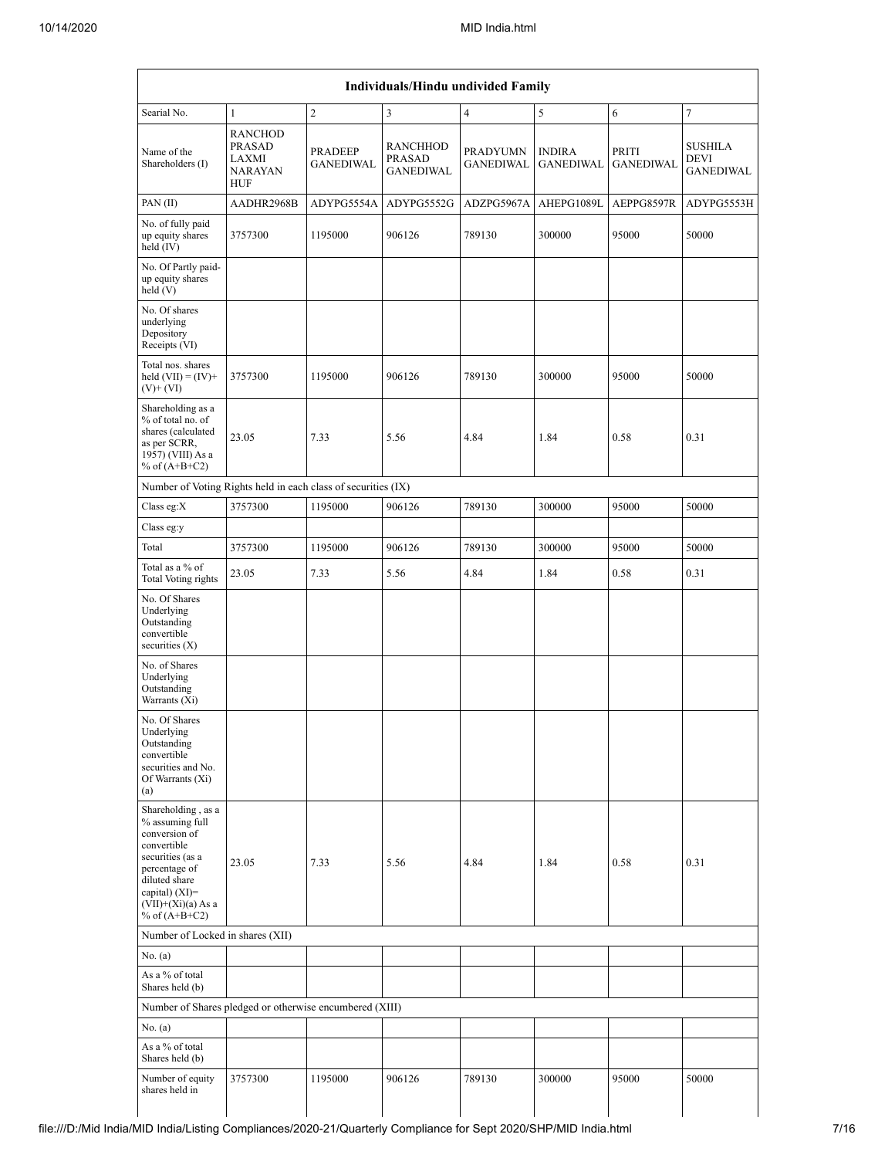|                                                                                                                                                                                          |                                                                                   |                             | Individuals/Hindu undivided Family     |                                     |                                   |                           |                                            |  |  |  |  |
|------------------------------------------------------------------------------------------------------------------------------------------------------------------------------------------|-----------------------------------------------------------------------------------|-----------------------------|----------------------------------------|-------------------------------------|-----------------------------------|---------------------------|--------------------------------------------|--|--|--|--|
| Searial No.                                                                                                                                                                              | $\overline{2}$<br>$\overline{4}$<br>5<br>$\overline{7}$<br>3<br>6<br>$\mathbf{1}$ |                             |                                        |                                     |                                   |                           |                                            |  |  |  |  |
| Name of the<br>Shareholders (I)                                                                                                                                                          | <b>RANCHOD</b><br><b>PRASAD</b><br>LAXMI<br><b>NARAYAN</b><br>HUF                 | PRADEEP<br><b>GANEDIWAL</b> | RANCHHOD<br>PRASAD<br><b>GANEDIWAL</b> | <b>PRADYUMN</b><br><b>GANEDIWAL</b> | <b>INDIRA</b><br><b>GANEDIWAL</b> | PRITI<br><b>GANEDIWAL</b> | <b>SUSHILA</b><br>DEVI<br><b>GANEDIWAL</b> |  |  |  |  |
| PAN(II)                                                                                                                                                                                  | AADHR2968B                                                                        | ADYPG5554A                  | ADYPG5552G                             | ADZPG5967A                          | AHEPG1089L                        | AEPPG8597R                | ADYPG5553H                                 |  |  |  |  |
| No. of fully paid<br>up equity shares<br>held (IV)                                                                                                                                       | 3757300                                                                           | 1195000                     | 906126                                 | 789130                              | 300000                            | 95000                     | 50000                                      |  |  |  |  |
| No. Of Partly paid-<br>up equity shares<br>held(V)                                                                                                                                       |                                                                                   |                             |                                        |                                     |                                   |                           |                                            |  |  |  |  |
| No. Of shares<br>underlying<br>Depository<br>Receipts (VI)                                                                                                                               |                                                                                   |                             |                                        |                                     |                                   |                           |                                            |  |  |  |  |
| Total nos. shares<br>held $(VII) = (IV) +$<br>$(V)$ + $(VI)$                                                                                                                             | 3757300                                                                           | 1195000                     | 906126                                 | 789130                              | 300000                            | 95000                     | 50000                                      |  |  |  |  |
| Shareholding as a<br>% of total no. of<br>shares (calculated<br>as per SCRR,<br>1957) (VIII) As a<br>% of $(A+B+C2)$                                                                     | 23.05                                                                             | 7.33                        | 5.56                                   | 4.84                                | 1.84                              | 0.58                      | 0.31                                       |  |  |  |  |
| Number of Voting Rights held in each class of securities (IX)                                                                                                                            |                                                                                   |                             |                                        |                                     |                                   |                           |                                            |  |  |  |  |
| Class eg: $X$                                                                                                                                                                            | 3757300                                                                           | 1195000                     | 906126                                 | 789130                              | 300000                            | 95000                     | 50000                                      |  |  |  |  |
| Class eg:y                                                                                                                                                                               |                                                                                   |                             |                                        |                                     |                                   |                           |                                            |  |  |  |  |
| Total                                                                                                                                                                                    | 3757300                                                                           | 1195000                     | 906126                                 | 789130                              | 300000                            | 95000                     | 50000                                      |  |  |  |  |
| Total as a % of<br>Total Voting rights                                                                                                                                                   | 23.05                                                                             | 7.33                        | 5.56                                   | 4.84                                | 1.84                              | 0.58                      | 0.31                                       |  |  |  |  |
| No. Of Shares<br>Underlying<br>Outstanding<br>convertible<br>securities $(X)$                                                                                                            |                                                                                   |                             |                                        |                                     |                                   |                           |                                            |  |  |  |  |
| No. of Shares<br>Underlying<br>Outstanding<br>Warrants (Xi)                                                                                                                              |                                                                                   |                             |                                        |                                     |                                   |                           |                                            |  |  |  |  |
| No. Of Shares<br>Underlying<br>Outstanding<br>convertible<br>securities and No.<br>Of Warrants (Xi)<br>(a)                                                                               |                                                                                   |                             |                                        |                                     |                                   |                           |                                            |  |  |  |  |
| Shareholding, as a<br>% assuming full<br>conversion of<br>convertible<br>securities (as a<br>percentage of<br>diluted share<br>capital) (XI)=<br>$(VII)+(Xi)(a)$ As a<br>% of $(A+B+C2)$ | 23.05                                                                             | 7.33                        | 5.56                                   | 4.84                                | 1.84                              | 0.58                      | 0.31                                       |  |  |  |  |
| Number of Locked in shares (XII)                                                                                                                                                         |                                                                                   |                             |                                        |                                     |                                   |                           |                                            |  |  |  |  |
| No. (a)                                                                                                                                                                                  |                                                                                   |                             |                                        |                                     |                                   |                           |                                            |  |  |  |  |
| As a % of total<br>Shares held (b)                                                                                                                                                       |                                                                                   |                             |                                        |                                     |                                   |                           |                                            |  |  |  |  |
| Number of Shares pledged or otherwise encumbered (XIII)                                                                                                                                  |                                                                                   |                             |                                        |                                     |                                   |                           |                                            |  |  |  |  |
| No. (a)                                                                                                                                                                                  |                                                                                   |                             |                                        |                                     |                                   |                           |                                            |  |  |  |  |
| As a % of total<br>Shares held (b)                                                                                                                                                       |                                                                                   |                             |                                        |                                     |                                   |                           |                                            |  |  |  |  |
| Number of equity<br>shares held in                                                                                                                                                       | 3757300                                                                           | 1195000                     | 906126                                 | 789130                              | 300000                            | 95000                     | 50000                                      |  |  |  |  |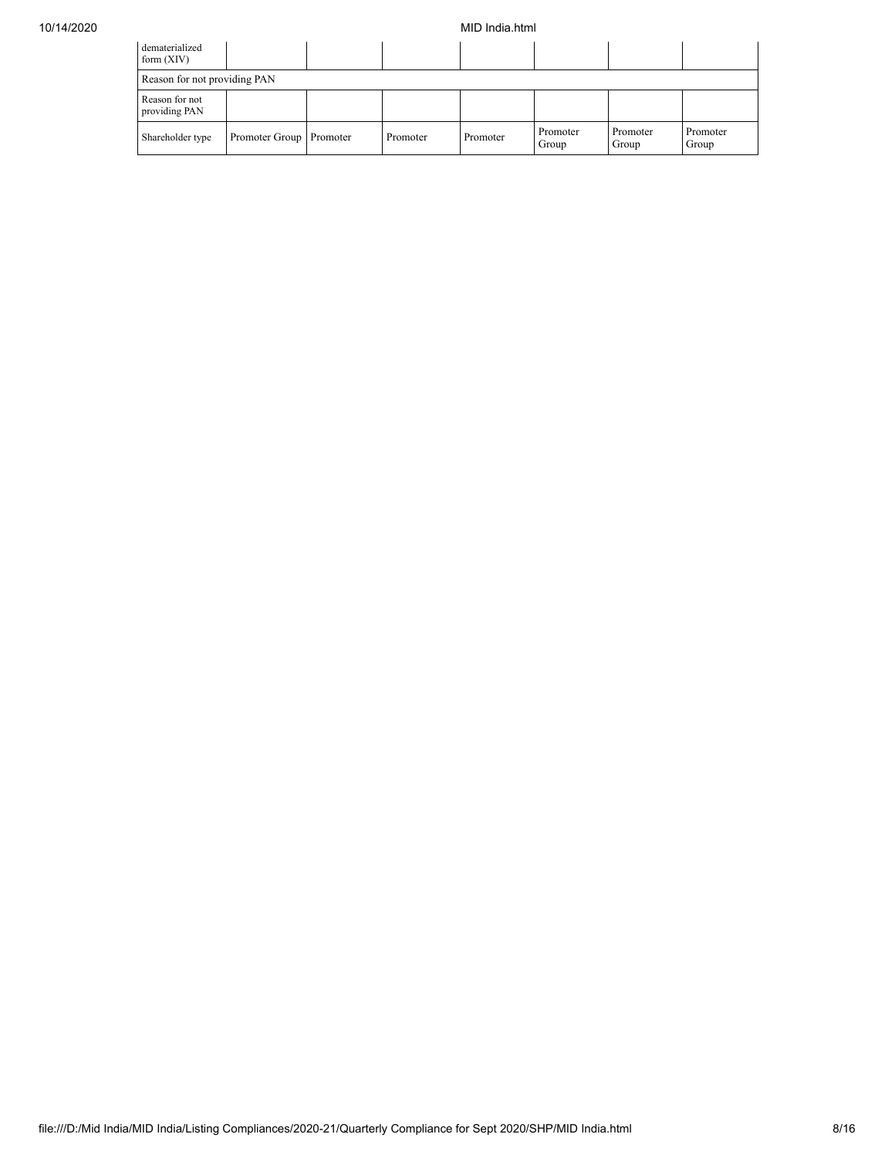## 10/14/2020 MID India.html

| dematerialized<br>form $(XIV)$  |                           |          |          |                   |                   |                   |
|---------------------------------|---------------------------|----------|----------|-------------------|-------------------|-------------------|
| Reason for not providing PAN    |                           |          |          |                   |                   |                   |
| Reason for not<br>providing PAN |                           |          |          |                   |                   |                   |
| Shareholder type                | Promoter Group   Promoter | Promoter | Promoter | Promoter<br>Group | Promoter<br>Group | Promoter<br>Group |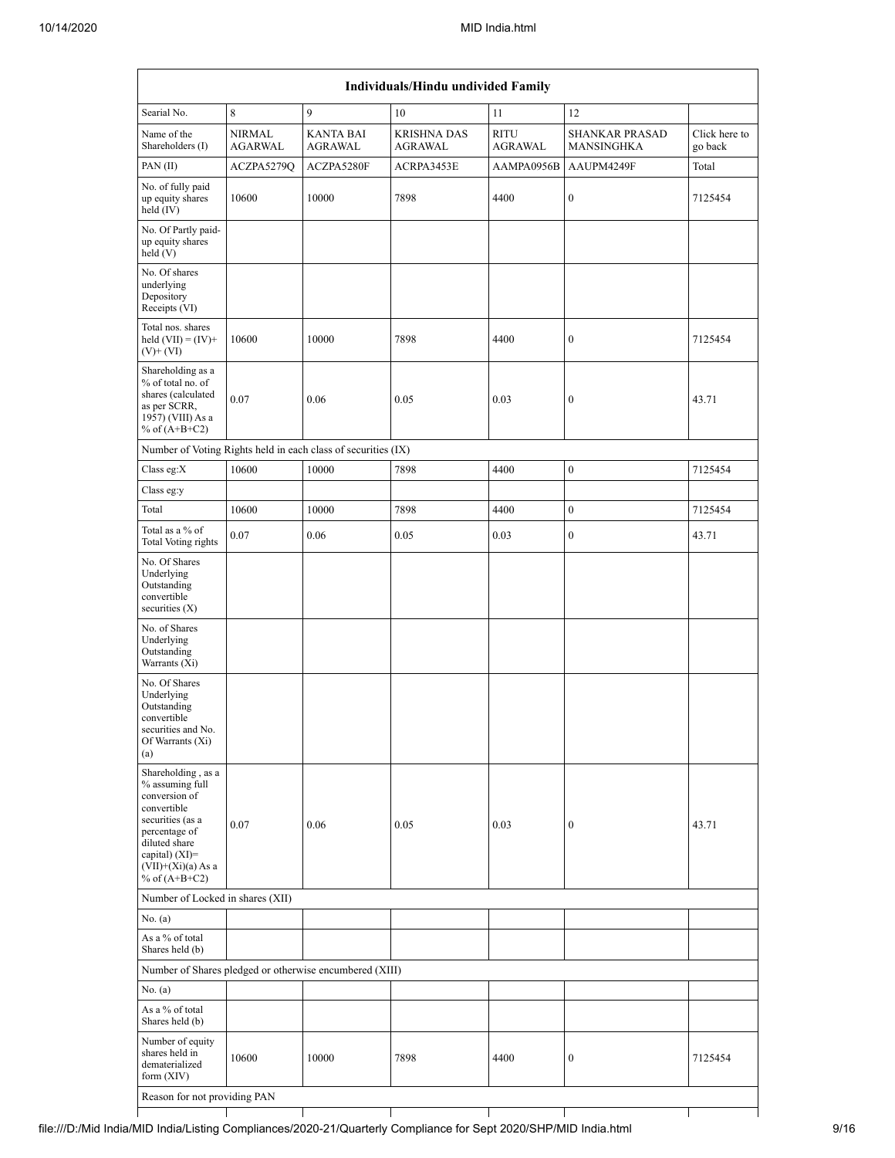|                                                                                                                                                                                          | Individuals/Hindu undivided Family |                                                               |                                      |                               |                                            |                          |  |  |  |  |  |
|------------------------------------------------------------------------------------------------------------------------------------------------------------------------------------------|------------------------------------|---------------------------------------------------------------|--------------------------------------|-------------------------------|--------------------------------------------|--------------------------|--|--|--|--|--|
| Searial No.                                                                                                                                                                              | 8                                  | 9                                                             | 10                                   | 11                            | 12                                         |                          |  |  |  |  |  |
| Name of the<br>Shareholders (I)                                                                                                                                                          | <b>NIRMAL</b><br><b>AGARWAL</b>    | <b>KANTA BAI</b><br>AGRAWAL                                   | <b>KRISHNA DAS</b><br><b>AGRAWAL</b> | <b>RITU</b><br><b>AGRAWAL</b> | <b>SHANKAR PRASAD</b><br><b>MANSINGHKA</b> | Click here to<br>go back |  |  |  |  |  |
| PAN $(II)$                                                                                                                                                                               | ACZPA5279Q                         | ACZPA5280F                                                    | ACRPA3453E                           | AAMPA0956B                    | AAUPM4249F                                 | Total                    |  |  |  |  |  |
| No. of fully paid<br>up equity shares<br>held (IV)                                                                                                                                       | 10600                              | 10000                                                         | 7898                                 | 4400                          | $\boldsymbol{0}$                           | 7125454                  |  |  |  |  |  |
| No. Of Partly paid-<br>up equity shares<br>held(V)                                                                                                                                       |                                    |                                                               |                                      |                               |                                            |                          |  |  |  |  |  |
| No. Of shares<br>underlying<br>Depository<br>Receipts (VI)                                                                                                                               |                                    |                                                               |                                      |                               |                                            |                          |  |  |  |  |  |
| Total nos. shares<br>held $(VII) = (IV) +$<br>$(V)$ + $(VI)$                                                                                                                             | 10600                              | 10000                                                         | 7898                                 | 4400                          | $\boldsymbol{0}$                           | 7125454                  |  |  |  |  |  |
| Shareholding as a<br>% of total no. of<br>shares (calculated<br>as per SCRR,<br>1957) (VIII) As a<br>% of $(A+B+C2)$                                                                     | 0.07                               | 0.06                                                          | 0.05                                 | 0.03                          | $\boldsymbol{0}$                           | 43.71                    |  |  |  |  |  |
|                                                                                                                                                                                          |                                    | Number of Voting Rights held in each class of securities (IX) |                                      |                               |                                            |                          |  |  |  |  |  |
| Class eg:X                                                                                                                                                                               | 10600                              | 10000                                                         | 7898                                 | 4400                          | $\boldsymbol{0}$                           | 7125454                  |  |  |  |  |  |
| Class eg:y                                                                                                                                                                               |                                    |                                                               |                                      |                               |                                            |                          |  |  |  |  |  |
| Total                                                                                                                                                                                    | 10600                              | 10000                                                         | 7898                                 | 4400                          | $\boldsymbol{0}$                           | 7125454                  |  |  |  |  |  |
| Total as a % of<br>Total Voting rights                                                                                                                                                   | 0.07                               | 0.06                                                          | 0.05                                 | 0.03                          | $\boldsymbol{0}$                           | 43.71                    |  |  |  |  |  |
| No. Of Shares<br>Underlying<br>Outstanding<br>convertible<br>securities $(X)$                                                                                                            |                                    |                                                               |                                      |                               |                                            |                          |  |  |  |  |  |
| No. of Shares<br>Underlying<br>Outstanding<br>Warrants (Xi)                                                                                                                              |                                    |                                                               |                                      |                               |                                            |                          |  |  |  |  |  |
| No. Of Shares<br>Underlying<br>Outstanding<br>convertible<br>securities and No.<br>Of Warrants (Xi)<br>(a)                                                                               |                                    |                                                               |                                      |                               |                                            |                          |  |  |  |  |  |
| Shareholding, as a<br>% assuming full<br>conversion of<br>convertible<br>securities (as a<br>percentage of<br>diluted share<br>capital) (XI)=<br>$(VII)+(Xi)(a) As a$<br>% of $(A+B+C2)$ | 0.07                               | 0.06                                                          | 0.05                                 | 0.03                          | $\boldsymbol{0}$                           | 43.71                    |  |  |  |  |  |
| Number of Locked in shares (XII)                                                                                                                                                         |                                    |                                                               |                                      |                               |                                            |                          |  |  |  |  |  |
| No. (a)                                                                                                                                                                                  |                                    |                                                               |                                      |                               |                                            |                          |  |  |  |  |  |
| As a % of total<br>Shares held (b)                                                                                                                                                       |                                    |                                                               |                                      |                               |                                            |                          |  |  |  |  |  |
|                                                                                                                                                                                          |                                    | Number of Shares pledged or otherwise encumbered (XIII)       |                                      |                               |                                            |                          |  |  |  |  |  |
| No. (a)                                                                                                                                                                                  |                                    |                                                               |                                      |                               |                                            |                          |  |  |  |  |  |
| As a % of total<br>Shares held (b)                                                                                                                                                       |                                    |                                                               |                                      |                               |                                            |                          |  |  |  |  |  |
| Number of equity<br>shares held in<br>dematerialized<br>form (XIV)                                                                                                                       | 10600                              | 10000                                                         | 7898                                 | 4400                          | $\boldsymbol{0}$                           | 7125454                  |  |  |  |  |  |
| Reason for not providing PAN                                                                                                                                                             |                                    |                                                               |                                      |                               |                                            |                          |  |  |  |  |  |
|                                                                                                                                                                                          |                                    |                                                               |                                      |                               |                                            |                          |  |  |  |  |  |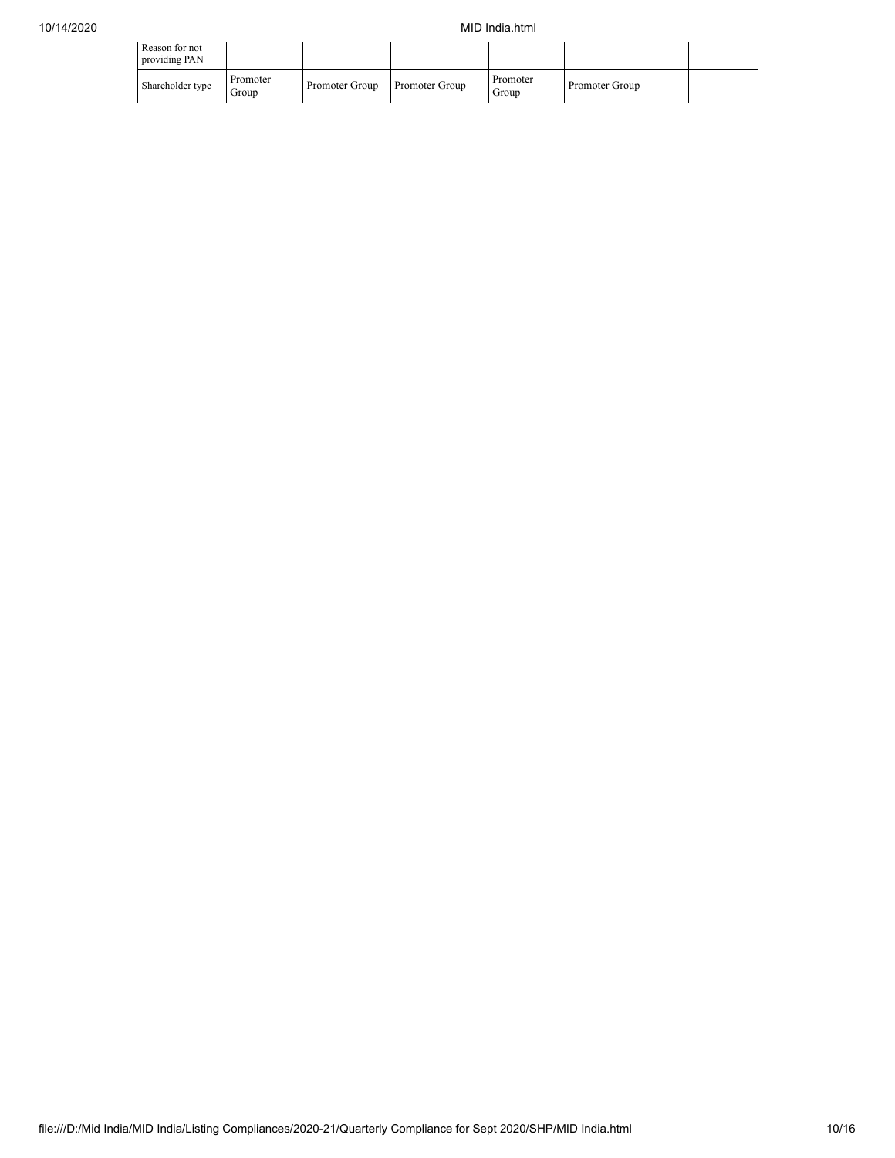| Reason for not<br>providing PAN |                   |                |                       |                   |                |  |
|---------------------------------|-------------------|----------------|-----------------------|-------------------|----------------|--|
| Shareholder type                | Promoter<br>Group | Promoter Group | <b>Promoter Group</b> | Promoter<br>Group | Promoter Group |  |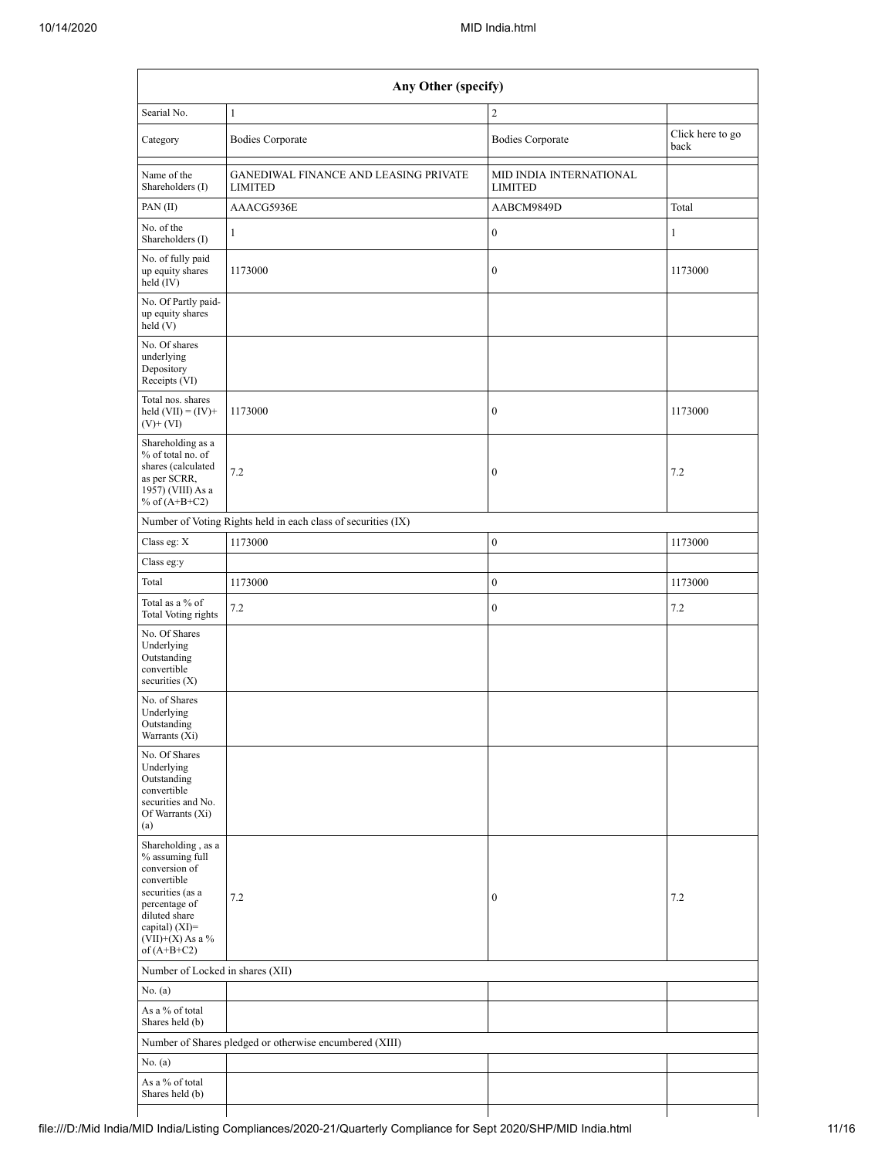| Any Other (specify)                                                                                                                                                                  |                                                               |                                           |                          |  |  |  |  |  |  |  |
|--------------------------------------------------------------------------------------------------------------------------------------------------------------------------------------|---------------------------------------------------------------|-------------------------------------------|--------------------------|--|--|--|--|--|--|--|
| Searial No.                                                                                                                                                                          | $\mathbf{1}$                                                  | $\overline{2}$                            |                          |  |  |  |  |  |  |  |
| Category                                                                                                                                                                             | <b>Bodies Corporate</b>                                       | <b>Bodies Corporate</b>                   | Click here to go<br>back |  |  |  |  |  |  |  |
| Name of the<br>Shareholders (I)                                                                                                                                                      | GANEDIWAL FINANCE AND LEASING PRIVATE<br><b>LIMITED</b>       | MID INDIA INTERNATIONAL<br><b>LIMITED</b> |                          |  |  |  |  |  |  |  |
| PAN (II)                                                                                                                                                                             | AAACG5936E                                                    | AABCM9849D                                | Total                    |  |  |  |  |  |  |  |
| No. of the<br>Shareholders (I)                                                                                                                                                       | $\mathbf{1}$                                                  | $\boldsymbol{0}$                          | $\mathbf{1}$             |  |  |  |  |  |  |  |
| No. of fully paid<br>up equity shares<br>$held$ (IV)                                                                                                                                 | 1173000                                                       | $\boldsymbol{0}$                          | 1173000                  |  |  |  |  |  |  |  |
| No. Of Partly paid-<br>up equity shares<br>held (V)                                                                                                                                  |                                                               |                                           |                          |  |  |  |  |  |  |  |
| No. Of shares<br>underlying<br>Depository<br>Receipts (VI)                                                                                                                           |                                                               |                                           |                          |  |  |  |  |  |  |  |
| Total nos. shares<br>held $(VII) = (IV) +$<br>$(V)$ + $(VI)$                                                                                                                         | 1173000                                                       | $\boldsymbol{0}$                          | 1173000                  |  |  |  |  |  |  |  |
| Shareholding as a<br>% of total no. of<br>shares (calculated<br>as per SCRR,<br>1957) (VIII) As a<br>% of $(A+B+C2)$                                                                 | 7.2                                                           | $\boldsymbol{0}$                          | 7.2                      |  |  |  |  |  |  |  |
|                                                                                                                                                                                      | Number of Voting Rights held in each class of securities (IX) |                                           |                          |  |  |  |  |  |  |  |
| Class eg: X                                                                                                                                                                          | 1173000                                                       | $\bf{0}$                                  | 1173000                  |  |  |  |  |  |  |  |
| Class eg:y                                                                                                                                                                           |                                                               |                                           |                          |  |  |  |  |  |  |  |
| Total                                                                                                                                                                                | 1173000                                                       | $\bf{0}$                                  | 1173000                  |  |  |  |  |  |  |  |
| Total as a % of<br>Total Voting rights                                                                                                                                               | 7.2                                                           | $\boldsymbol{0}$                          | 7.2                      |  |  |  |  |  |  |  |
| No. Of Shares<br>Underlying<br>Outstanding<br>convertible<br>securities $(X)$                                                                                                        |                                                               |                                           |                          |  |  |  |  |  |  |  |
| No. of Shares<br>Underlying<br>Outstanding<br>Warrants (Xi)                                                                                                                          |                                                               |                                           |                          |  |  |  |  |  |  |  |
| No. Of Shares<br>Underlying<br>Outstanding<br>convertible<br>securities and No.<br>Of Warrants (Xi)<br>(a)                                                                           |                                                               |                                           |                          |  |  |  |  |  |  |  |
| Shareholding, as a<br>% assuming full<br>conversion of<br>convertible<br>securities (as a<br>percentage of<br>diluted share<br>capital) (XI)=<br>$(VII)+(X)$ As a %<br>of $(A+B+C2)$ | 7.2                                                           | $\boldsymbol{0}$                          | 7.2                      |  |  |  |  |  |  |  |
| Number of Locked in shares (XII)                                                                                                                                                     |                                                               |                                           |                          |  |  |  |  |  |  |  |
| No. (a)                                                                                                                                                                              |                                                               |                                           |                          |  |  |  |  |  |  |  |
| As a % of total<br>Shares held (b)                                                                                                                                                   |                                                               |                                           |                          |  |  |  |  |  |  |  |
|                                                                                                                                                                                      | Number of Shares pledged or otherwise encumbered (XIII)       |                                           |                          |  |  |  |  |  |  |  |
| No. (a)                                                                                                                                                                              |                                                               |                                           |                          |  |  |  |  |  |  |  |
| As a % of total<br>Shares held (b)                                                                                                                                                   |                                                               |                                           |                          |  |  |  |  |  |  |  |
|                                                                                                                                                                                      |                                                               |                                           |                          |  |  |  |  |  |  |  |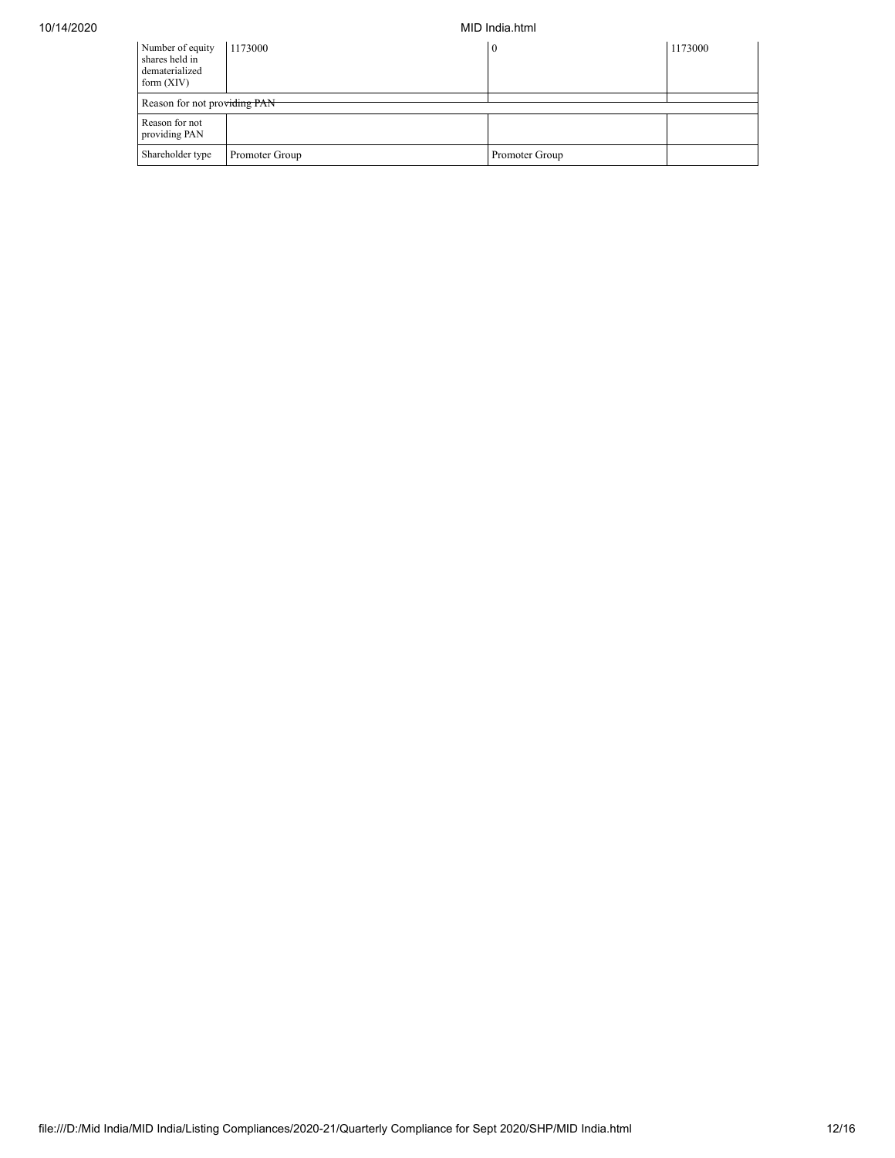10/14/2020 MID India.html

| Number of equity<br>shares held in<br>dematerialized<br>form $(XIV)$ | 1173000                      | 0              | 1173000 |  |  |  |  |  |  |  |
|----------------------------------------------------------------------|------------------------------|----------------|---------|--|--|--|--|--|--|--|
|                                                                      | Reason for not providing PAN |                |         |  |  |  |  |  |  |  |
| Reason for not<br>providing PAN                                      |                              |                |         |  |  |  |  |  |  |  |
| Shareholder type                                                     | Promoter Group               | Promoter Group |         |  |  |  |  |  |  |  |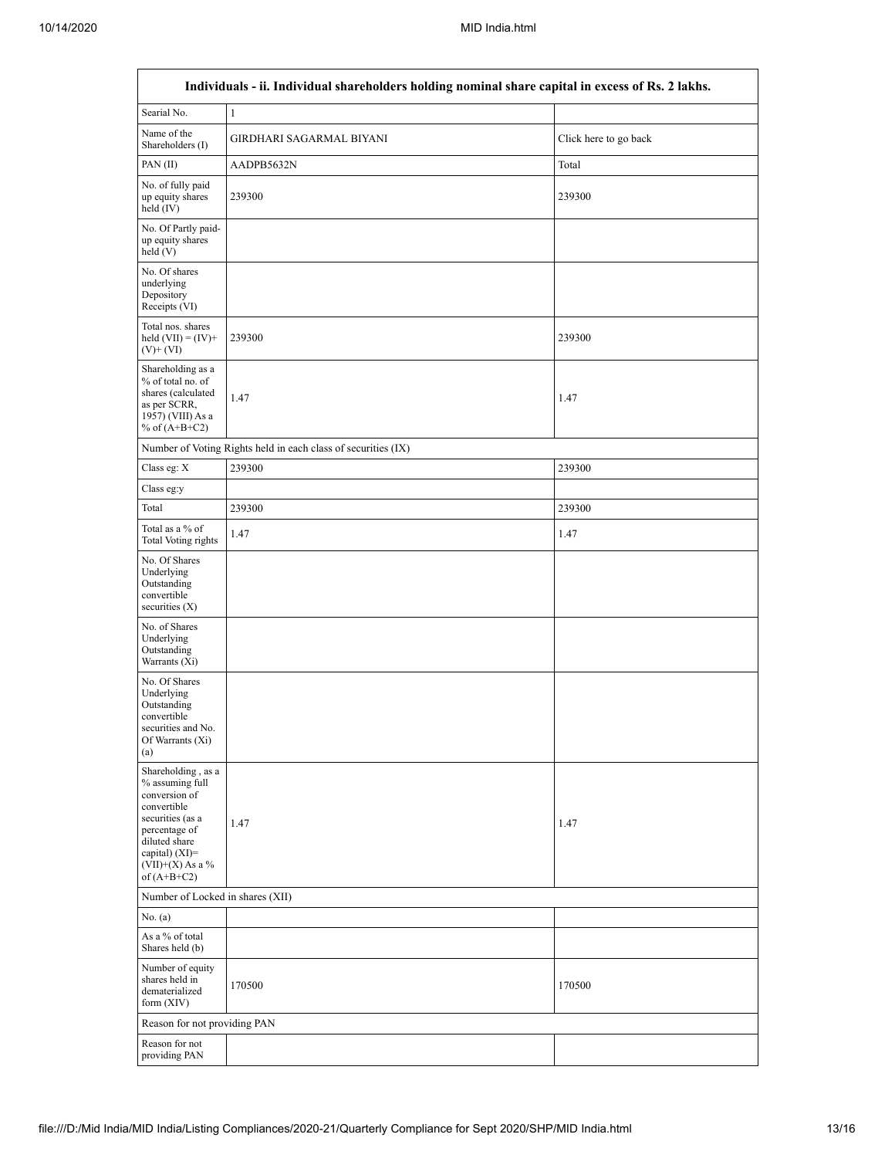| Individuals - ii. Individual shareholders holding nominal share capital in excess of Rs. 2 lakhs.                                                                                      |                                                               |                       |  |  |  |  |  |  |  |  |
|----------------------------------------------------------------------------------------------------------------------------------------------------------------------------------------|---------------------------------------------------------------|-----------------------|--|--|--|--|--|--|--|--|
| Searial No.                                                                                                                                                                            | $\mathbf{1}$                                                  |                       |  |  |  |  |  |  |  |  |
| Name of the<br>Shareholders (I)                                                                                                                                                        | GIRDHARI SAGARMAL BIYANI                                      | Click here to go back |  |  |  |  |  |  |  |  |
| PAN (II)                                                                                                                                                                               | AADPB5632N                                                    | Total                 |  |  |  |  |  |  |  |  |
| No. of fully paid<br>up equity shares<br>held $(IV)$                                                                                                                                   | 239300                                                        | 239300                |  |  |  |  |  |  |  |  |
| No. Of Partly paid-<br>up equity shares<br>held (V)                                                                                                                                    |                                                               |                       |  |  |  |  |  |  |  |  |
| No. Of shares<br>underlying<br>Depository<br>Receipts (VI)                                                                                                                             |                                                               |                       |  |  |  |  |  |  |  |  |
| Total nos. shares<br>held $(VII) = (IV) +$<br>$(V)$ + $(VI)$                                                                                                                           | 239300                                                        | 239300                |  |  |  |  |  |  |  |  |
| Shareholding as a<br>% of total no. of<br>shares (calculated<br>as per SCRR,<br>1957) (VIII) As a<br>% of $(A+B+C2)$                                                                   | 1.47                                                          | 1.47                  |  |  |  |  |  |  |  |  |
|                                                                                                                                                                                        | Number of Voting Rights held in each class of securities (IX) |                       |  |  |  |  |  |  |  |  |
| Class eg: $\mathbf X$                                                                                                                                                                  | 239300                                                        | 239300                |  |  |  |  |  |  |  |  |
| Class eg:y                                                                                                                                                                             |                                                               |                       |  |  |  |  |  |  |  |  |
| Total                                                                                                                                                                                  | 239300                                                        | 239300                |  |  |  |  |  |  |  |  |
| Total as a % of<br><b>Total Voting rights</b>                                                                                                                                          | 1.47                                                          | 1.47                  |  |  |  |  |  |  |  |  |
| No. Of Shares<br>Underlying<br>Outstanding<br>convertible<br>securities $(X)$                                                                                                          |                                                               |                       |  |  |  |  |  |  |  |  |
| No. of Shares<br>Underlying<br>Outstanding<br>Warrants (Xi)                                                                                                                            |                                                               |                       |  |  |  |  |  |  |  |  |
| No. Of Shares<br>Underlying<br>Outstanding<br>convertible<br>securities and No.<br>Of Warrants (Xi)<br>(a)                                                                             |                                                               |                       |  |  |  |  |  |  |  |  |
| Shareholding, as a<br>% assuming full<br>conversion of<br>convertible<br>securities (as a<br>percentage of<br>diluted share<br>capital) $(XI)=$<br>$(VII)+(X)$ As a %<br>of $(A+B+C2)$ | 1.47                                                          | 1.47                  |  |  |  |  |  |  |  |  |
| Number of Locked in shares (XII)                                                                                                                                                       |                                                               |                       |  |  |  |  |  |  |  |  |
| No. (a)                                                                                                                                                                                |                                                               |                       |  |  |  |  |  |  |  |  |
| As a % of total<br>Shares held (b)                                                                                                                                                     |                                                               |                       |  |  |  |  |  |  |  |  |
| Number of equity<br>shares held in<br>dematerialized<br>form $(XIV)$                                                                                                                   | 170500                                                        | 170500                |  |  |  |  |  |  |  |  |
|                                                                                                                                                                                        | Reason for not providing PAN                                  |                       |  |  |  |  |  |  |  |  |
| Reason for not<br>providing PAN                                                                                                                                                        |                                                               |                       |  |  |  |  |  |  |  |  |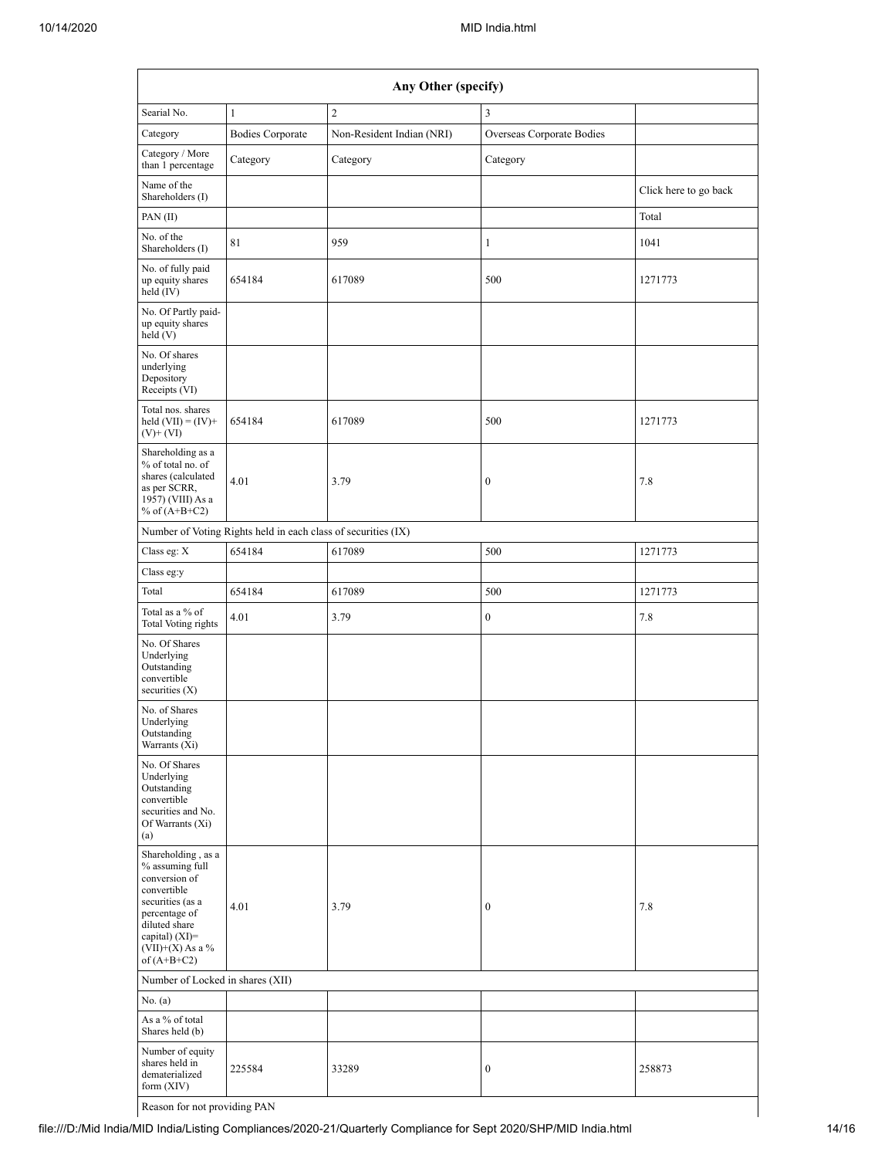| Any Other (specify)                                                                                                                                                                                   |                                                               |                           |                           |                       |  |  |  |  |  |
|-------------------------------------------------------------------------------------------------------------------------------------------------------------------------------------------------------|---------------------------------------------------------------|---------------------------|---------------------------|-----------------------|--|--|--|--|--|
| Searial No.                                                                                                                                                                                           | $\mathbf{1}$                                                  | $\overline{c}$            | $\mathfrak{Z}$            |                       |  |  |  |  |  |
| Category                                                                                                                                                                                              | <b>Bodies Corporate</b>                                       | Non-Resident Indian (NRI) | Overseas Corporate Bodies |                       |  |  |  |  |  |
| Category / More<br>than 1 percentage                                                                                                                                                                  | Category                                                      | Category                  | Category                  |                       |  |  |  |  |  |
| Name of the<br>Shareholders (I)                                                                                                                                                                       |                                                               |                           |                           | Click here to go back |  |  |  |  |  |
| PAN (II)                                                                                                                                                                                              |                                                               |                           |                           | Total                 |  |  |  |  |  |
| No. of the<br>Shareholders (I)                                                                                                                                                                        | 81                                                            | 959                       | $\mathbf{1}$              | 1041                  |  |  |  |  |  |
| No. of fully paid<br>up equity shares<br>held (IV)                                                                                                                                                    | 654184                                                        | 617089                    | 500                       | 1271773               |  |  |  |  |  |
| No. Of Partly paid-<br>up equity shares<br>held(V)                                                                                                                                                    |                                                               |                           |                           |                       |  |  |  |  |  |
| No. Of shares<br>underlying<br>Depository<br>Receipts (VI)                                                                                                                                            |                                                               |                           |                           |                       |  |  |  |  |  |
| Total nos. shares<br>held $(VII) = (IV) +$<br>$(V)$ + $(VI)$                                                                                                                                          | 654184                                                        | 617089                    | 500                       | 1271773               |  |  |  |  |  |
| Shareholding as a<br>% of total no. of<br>shares (calculated<br>as per SCRR,<br>1957) (VIII) As a<br>% of $(A+B+C2)$                                                                                  | 4.01                                                          | 3.79                      | $\boldsymbol{0}$          | 7.8                   |  |  |  |  |  |
|                                                                                                                                                                                                       | Number of Voting Rights held in each class of securities (IX) |                           |                           |                       |  |  |  |  |  |
| Class eg: X                                                                                                                                                                                           | 654184                                                        | 617089                    | 500                       | 1271773               |  |  |  |  |  |
| Class eg:y                                                                                                                                                                                            |                                                               |                           |                           |                       |  |  |  |  |  |
| Total                                                                                                                                                                                                 | 654184                                                        | 617089                    | 500                       | 1271773               |  |  |  |  |  |
| Total as a % of<br><b>Total Voting rights</b>                                                                                                                                                         | 4.01                                                          | 3.79                      | $\boldsymbol{0}$          | 7.8                   |  |  |  |  |  |
| No. Of Shares<br>Underlying<br>Outstanding<br>convertible<br>securities $(X)$                                                                                                                         |                                                               |                           |                           |                       |  |  |  |  |  |
| No. of Shares<br>Underlying<br>Outstanding<br>Warrants (Xi)                                                                                                                                           |                                                               |                           |                           |                       |  |  |  |  |  |
| No. Of Shares<br>Underlying<br>Outstanding<br>convertible<br>securities and No.<br>Of Warrants (Xi)<br>(a)                                                                                            |                                                               |                           |                           |                       |  |  |  |  |  |
| Shareholding, as a<br>% assuming full<br>conversion of<br>convertible<br>securities (as a<br>percentage of<br>diluted share<br>capital) (XI)=<br>$({\rm VII}){+}({\rm X})$ As a $\%$<br>of $(A+B+C2)$ | 4.01                                                          | 3.79                      | $\boldsymbol{0}$          | 7.8                   |  |  |  |  |  |
| Number of Locked in shares (XII)                                                                                                                                                                      |                                                               |                           |                           |                       |  |  |  |  |  |
| No. (a)                                                                                                                                                                                               |                                                               |                           |                           |                       |  |  |  |  |  |
| As a % of total<br>Shares held (b)                                                                                                                                                                    |                                                               |                           |                           |                       |  |  |  |  |  |
| Number of equity<br>shares held in<br>dematerialized<br>form (XIV)                                                                                                                                    | 225584                                                        | 33289                     | $\boldsymbol{0}$          | 258873                |  |  |  |  |  |
| Reason for not providing PAN                                                                                                                                                                          |                                                               |                           |                           |                       |  |  |  |  |  |

file:///D:/Mid India/MID India/Listing Compliances/2020-21/Quarterly Compliance for Sept 2020/SHP/MID India.html 14/16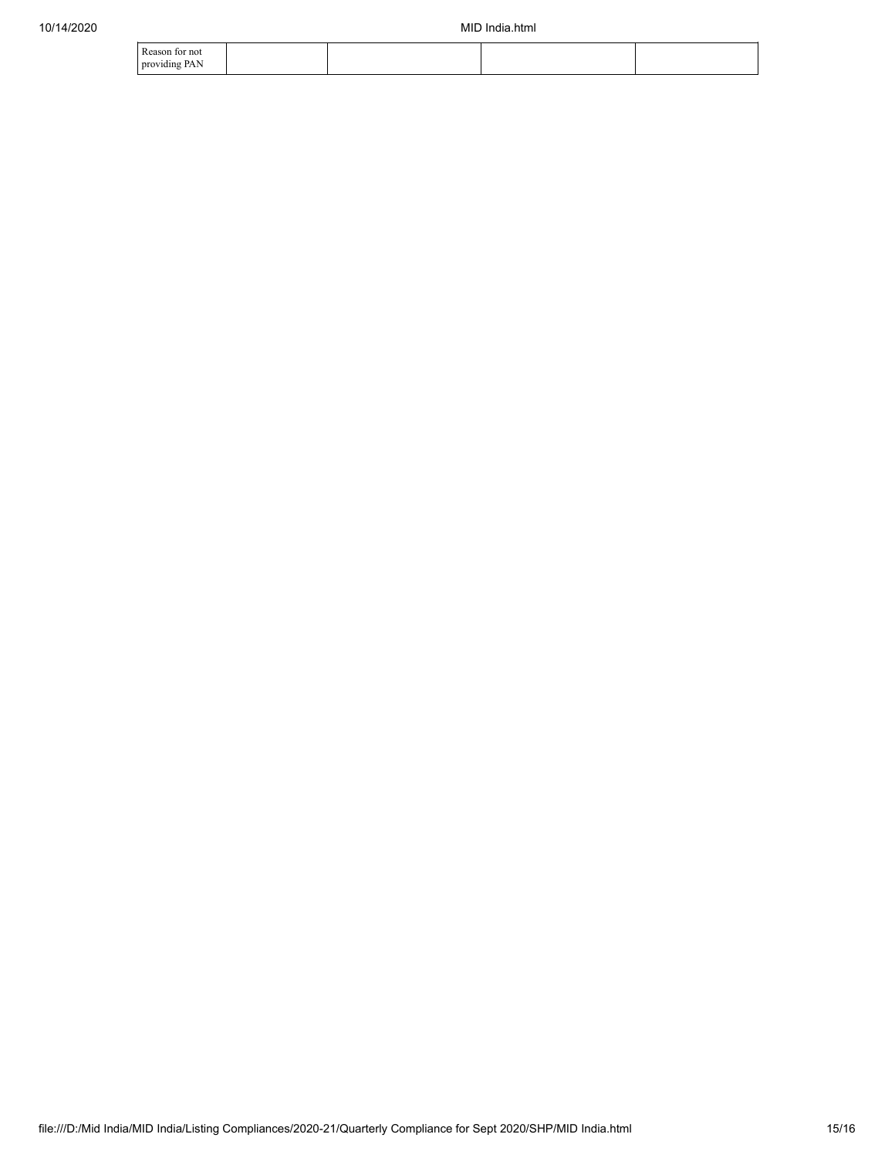| no<br>PΛ<br>providing<br>$\overline{11}$ |  |  |
|------------------------------------------|--|--|